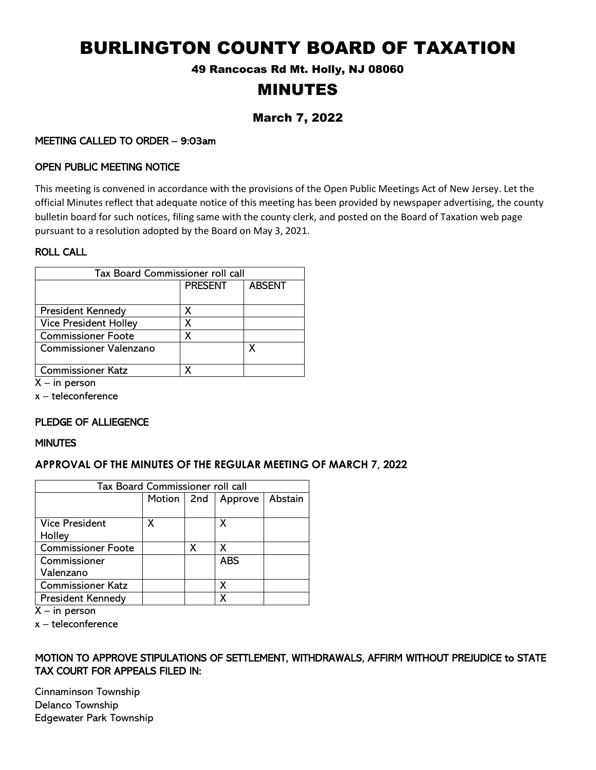# BURLINGTON COUNTY BOARD OF TAXATION

49 Rancocas Rd Mt. Holly, NJ 08060

# MINUTES

# March 7, 2022

# MEETING CALLED TO ORDER – 9:03am

# OPEN PUBLIC MEETING NOTICE

This meeting is convened in accordance with the provisions of the Open Public Meetings Act of New Jersey. Let the official Minutes reflect that adequate notice of this meeting has been provided by newspaper advertising, the county bulletin board for such notices, filing same with the county clerk, and posted on the Board of Taxation web page pursuant to a resolution adopted by the Board on May 3, 2021.

# ROLL CALL

| Tax Board Commissioner roll call |                |               |  |  |  |
|----------------------------------|----------------|---------------|--|--|--|
|                                  | <b>PRESENT</b> | <b>ABSENT</b> |  |  |  |
| <b>President Kennedy</b>         | X              |               |  |  |  |
| <b>Vice President Holley</b>     | x              |               |  |  |  |
| <b>Commissioner Foote</b>        | χ              |               |  |  |  |
| <b>Commissioner Valenzano</b>    |                | χ             |  |  |  |
| <b>Commissioner Katz</b>         |                |               |  |  |  |

 $X - in$  person

x – teleconference

# PLEDGE OF ALLIEGENCE

#### **MINUTES**

# **APPROVAL OF THE MINUTES OF THE REGULAR MEETING OF MARCH 7, 2022**

| Tax Board Commissioner roll call |              |   |            |         |  |  |
|----------------------------------|--------------|---|------------|---------|--|--|
|                                  | Motion   2nd |   | Approve    | Abstain |  |  |
|                                  |              |   |            |         |  |  |
| <b>Vice President</b>            | x            |   | X          |         |  |  |
| Holley                           |              |   |            |         |  |  |
| Commissioner Foote               |              | X | X          |         |  |  |
| Commissioner                     |              |   | <b>ABS</b> |         |  |  |
| Valenzano                        |              |   |            |         |  |  |
| <b>Commissioner Katz</b>         |              |   | х          |         |  |  |
| <b>President Kennedy</b>         |              |   |            |         |  |  |

 $X - in$  person

x – teleconference

# MOTION TO APPROVE STIPULATIONS OF SETTLEMENT, WITHDRAWALS, AFFIRM WITHOUT PREJUDICE to STATE TAX COURT FOR APPEALS FILED IN:

Cinnaminson Township Delanco Township Edgewater Park Township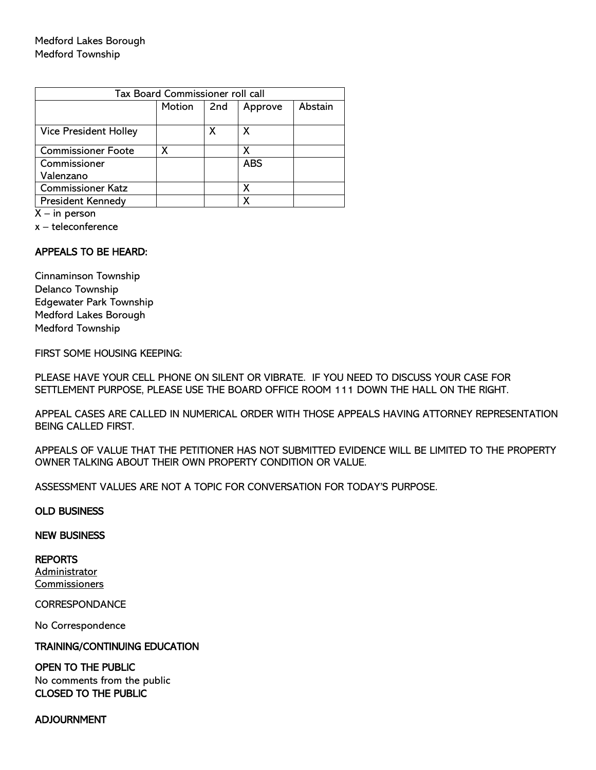| Tax Board Commissioner roll call |        |     |            |         |  |  |
|----------------------------------|--------|-----|------------|---------|--|--|
|                                  | Motion | 2nd | Approve    | Abstain |  |  |
|                                  |        |     |            |         |  |  |
| <b>Vice President Holley</b>     |        |     | x          |         |  |  |
| <b>Commissioner Foote</b>        | χ      |     |            |         |  |  |
| Commissioner                     |        |     | <b>ABS</b> |         |  |  |
| Valenzano                        |        |     |            |         |  |  |
| <b>Commissioner Katz</b>         |        |     | X          |         |  |  |
| President Kennedy                |        |     |            |         |  |  |

 $X - in person$ 

x – teleconference

# APPEALS TO BE HEARD:

Cinnaminson Township Delanco Township Edgewater Park Township Medford Lakes Borough Medford Township

FIRST SOME HOUSING KEEPING:

PLEASE HAVE YOUR CELL PHONE ON SILENT OR VIBRATE. IF YOU NEED TO DISCUSS YOUR CASE FOR SETTLEMENT PURPOSE, PLEASE USE THE BOARD OFFICE ROOM 111 DOWN THE HALL ON THE RIGHT.

APPEAL CASES ARE CALLED IN NUMERICAL ORDER WITH THOSE APPEALS HAVING ATTORNEY REPRESENTATION BEING CALLED FIRST.

APPEALS OF VALUE THAT THE PETITIONER HAS NOT SUBMITTED EVIDENCE WILL BE LIMITED TO THE PROPERTY OWNER TALKING ABOUT THEIR OWN PROPERTY CONDITION OR VALUE.

ASSESSMENT VALUES ARE NOT A TOPIC FOR CONVERSATION FOR TODAY'S PURPOSE.

#### OLD BUSINESS

#### NEW BUSINESS

REPORTS Administrator **Commissioners** 

#### **CORRESPONDANCE**

No Correspondence

#### TRAINING/CONTINUING EDUCATION

#### OPEN TO THE PUBLIC

No comments from the public CLOSED TO THE PUBLIC

#### ADJOURNMENT